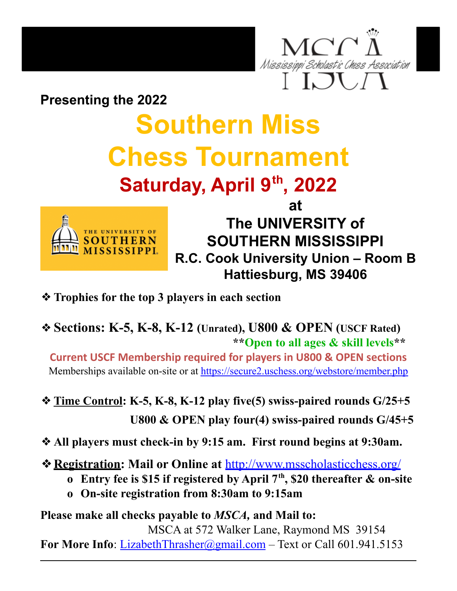

**Presenting the 2022**

## **Southern Miss Chess Tournament**

## **Saturday, April 9 th , 2022**



**at The UNIVERSITY of SOUTHERN MISSISSIPPI R.C. Cook University Union – Room B Hattiesburg, MS 39406**

❖**Trophies for the top 3 players in each section**

❖**Sections: K-5, K-8, K-12 (Unrated), U800 & OPEN (USCF Rated) \*\*Open to all ages & skill levels\*\***

**Current USCF Membership required for players in U800 & OPEN sections** Memberships available on-site or at <https://secure2.uschess.org/webstore/member.php>

❖**Time Control: K-5, K-8, K-12 play five(5) swiss-paired rounds G/25+5 U800 & OPEN play four(4) swiss-paired rounds G/45+5**

❖**All players must check-in by 9:15 am. First round begins at 9:30am.**

❖**Registration: Mail or Online at** <http://www.msscholasticchess.org/>

- **o Entry fee is \$15 if registered by April 7 th , \$20 thereafter & on-site**
- **o On-site registration from 8:30am to 9:15am**

**Please make all checks payable to** *MSCA,* **and Mail to:** MSCA at 572 Walker Lane, Raymond MS 39154 **For More Info**: [LizabethThrasher@gmail.com](mailto:jeffbolhuis@MSscholasticChess.org) – Text or Call 601.941.5153